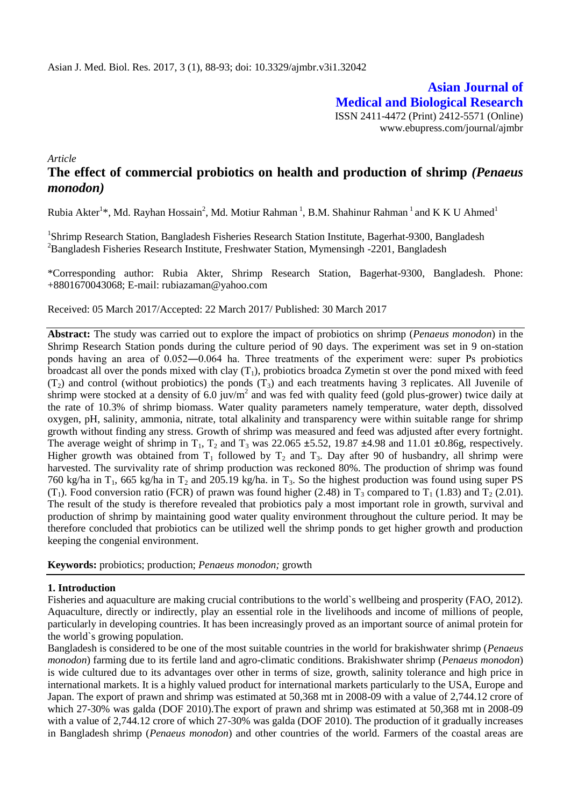**Asian Journal of Medical and Biological Research** ISSN 2411-4472 (Print) 2412-5571 (Online) www.ebupress.com/journal/ajmbr

*Article*

# **The effect of commercial probiotics on health and production of shrimp** *(Penaeus monodon)*

Rubia Akter<sup>1</sup>\*, Md. Rayhan Hossain<sup>2</sup>, Md. Motiur Rahman<sup>1</sup>, B.M. Shahinur Rahman<sup>1</sup> and K K U Ahmed<sup>1</sup>

<sup>1</sup>Shrimp Research Station, Bangladesh Fisheries Research Station Institute, Bagerhat-9300, Bangladesh <sup>2</sup>Bangladesh Fisheries Research Institute, Freshwater Station, Mymensingh -2201, Bangladesh

\*Corresponding author: Rubia Akter, Shrimp Research Station, Bagerhat-9300, Bangladesh. Phone: +8801670043068; E-mail: rubiazaman@yahoo.com

Received: 05 March 2017/Accepted: 22 March 2017/ Published: 30 March 2017

**Abstract:** The study was carried out to explore the impact of probiotics on shrimp (*Penaeus monodon*) in the Shrimp Research Station ponds during the culture period of 90 days. The experiment was set in 9 on-station ponds having an area of 0.052―0.064 ha. Three treatments of the experiment were: super Ps probiotics broadcast all over the ponds mixed with clay  $(T_1)$ , probiotics broadca Zymetin st over the pond mixed with feed  $(T<sub>2</sub>)$  and control (without probiotics) the ponds  $(T<sub>3</sub>)$  and each treatments having 3 replicates. All Juvenile of shrimp were stocked at a density of 6.0 juv/ $m^2$  and was fed with quality feed (gold plus-grower) twice daily at the rate of 10.3% of shrimp biomass. Water quality parameters namely temperature, water depth, dissolved oxygen, pH, salinity, ammonia, nitrate, total alkalinity and transparency were within suitable range for shrimp growth without finding any stress. Growth of shrimp was measured and feed was adjusted after every fortnight. The average weight of shrimp in  $T_1$ ,  $T_2$  and  $T_3$  was 22.065  $\pm$ 5.52, 19.87  $\pm$ 4.98 and 11.01  $\pm$ 0.86g, respectively. Higher growth was obtained from  $T_1$  followed by  $T_2$  and  $T_3$ . Day after 90 of husbandry, all shrimp were harvested. The survivality rate of shrimp production was reckoned 80%. The production of shrimp was found 760 kg/ha in T<sub>1</sub>, 665 kg/ha in T<sub>2</sub> and 205.19 kg/ha. in T<sub>3</sub>. So the highest production was found using super PS  $(T_1)$ . Food conversion ratio (FCR) of prawn was found higher (2.48) in  $T_3$  compared to  $T_1$  (1.83) and  $T_2$  (2.01). The result of the study is therefore revealed that probiotics paly a most important role in growth, survival and production of shrimp by maintaining good water quality environment throughout the culture period. It may be therefore concluded that probiotics can be utilized well the shrimp ponds to get higher growth and production keeping the congenial environment.

**Keywords:** probiotics; production; *Penaeus monodon;* growth

### **1. Introduction**

Fisheries and aquaculture are making crucial contributions to the world`s wellbeing and prosperity (FAO, 2012). Aquaculture, directly or indirectly, play an essential role in the livelihoods and income of millions of people, particularly in developing countries. It has been increasingly proved as an important source of animal protein for the world`s growing population.

Bangladesh is considered to be one of the most suitable countries in the world for brakishwater shrimp (*Penaeus monodon*) farming due to its fertile land and agro-climatic conditions. Brakishwater shrimp (*Penaeus monodon*) is wide cultured due to its advantages over other in terms of size, growth, salinity tolerance and high price in international markets. It is a highly valued product for international markets particularly to the USA, Europe and Japan. The export of prawn and shrimp was estimated at 50,368 mt in 2008-09 with a value of 2,744.12 crore of which 27-30% was galda (DOF 2010).The export of prawn and shrimp was estimated at 50,368 mt in 2008-09 with a value of 2,744.12 crore of which 27-30% was galda (DOF 2010). The production of it gradually increases in Bangladesh shrimp (*Penaeus monodon*) and other countries of the world. Farmers of the coastal areas are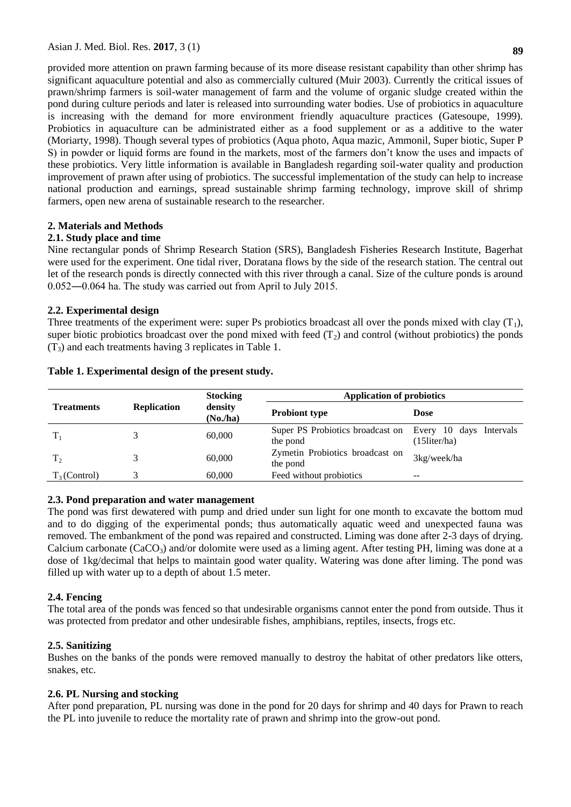provided more attention on prawn farming because of its more disease resistant capability than other shrimp has significant aquaculture potential and also as commercially cultured (Muir 2003). Currently the critical issues of prawn/shrimp farmers is soil-water management of farm and the volume of organic sludge created within the pond during culture periods and later is released into surrounding water bodies. Use of probiotics in aquaculture is increasing with the demand for more environment friendly aquaculture practices (Gatesoupe, 1999). Probiotics in aquaculture can be administrated either as a food supplement or as a additive to the water (Moriarty, 1998). Though several types of probiotics (Aqua photo, Aqua mazic, Ammonil, Super biotic, Super P S) in powder or liquid forms are found in the markets, most of the farmers don't know the uses and impacts of these probiotics. Very little information is available in Bangladesh regarding soil-water quality and production improvement of prawn after using of probiotics. The successful implementation of the study can help to increase national production and earnings, spread sustainable shrimp farming technology, improve skill of shrimp farmers, open new arena of sustainable research to the researcher.

# **2. Materials and Methods**

### **2.1. Study place and time**

Nine rectangular ponds of Shrimp Research Station (SRS), Bangladesh Fisheries Research Institute, Bagerhat were used for the experiment. One tidal river, Doratana flows by the side of the research station. The central out let of the research ponds is directly connected with this river through a canal. Size of the culture ponds is around 0.052―0.064 ha. The study was carried out from April to July 2015.

### **2.2. Experimental design**

Three treatments of the experiment were: super Ps probiotics broadcast all over the ponds mixed with clay  $(T_1)$ , super biotic probiotics broadcast over the pond mixed with feed  $(T_2)$  and control (without probiotics) the ponds  $(T_3)$  and each treatments having 3 replicates in Table 1.

|                   |                    | <b>Stocking</b>    | <b>Application of probiotics</b>             |                                            |
|-------------------|--------------------|--------------------|----------------------------------------------|--------------------------------------------|
| <b>Treatments</b> | <b>Replication</b> | density<br>(No/ha) | <b>Probiont type</b>                         | <b>Dose</b>                                |
| $T_{1}$           |                    | 60,000             | Super PS Probiotics broadcast on<br>the pond | Every 10 days Intervals<br>$(15$ liter/ha) |
| $T_2$             |                    | 60,000             | Zymetin Probiotics broadcast on<br>the pond  | 3kg/week/ha                                |
| $T_3$ (Control)   |                    | 60,000             | Feed without probiotics                      | $- -$                                      |

### **Table 1. Experimental design of the present study.**

### **2.3. Pond preparation and water management**

The pond was first dewatered with pump and dried under sun light for one month to excavate the bottom mud and to do digging of the experimental ponds; thus automatically aquatic weed and unexpected fauna was removed. The embankment of the pond was repaired and constructed. Liming was done after 2-3 days of drying. Calcium carbonate  $(CaCO<sub>3</sub>)$  and/or dolomite were used as a liming agent. After testing PH, liming was done at a dose of 1kg/decimal that helps to maintain good water quality. Watering was done after liming. The pond was filled up with water up to a depth of about 1.5 meter.

# **2.4. Fencing**

The total area of the ponds was fenced so that undesirable organisms cannot enter the pond from outside. Thus it was protected from predator and other undesirable fishes, amphibians, reptiles, insects, frogs etc.

# **2.5. Sanitizing**

Bushes on the banks of the ponds were removed manually to destroy the habitat of other predators like otters, snakes, etc.

### **2.6. PL Nursing and stocking**

After pond preparation, PL nursing was done in the pond for 20 days for shrimp and 40 days for Prawn to reach the PL into juvenile to reduce the mortality rate of prawn and shrimp into the grow-out pond.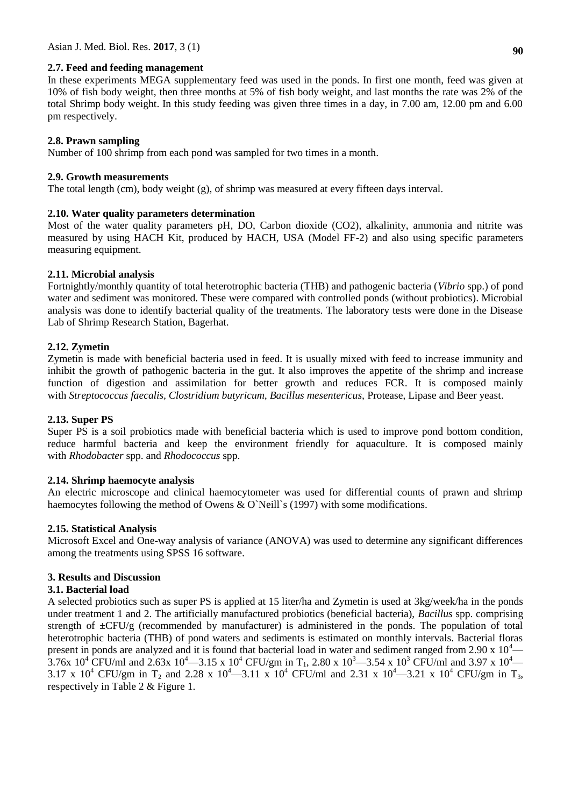### **2.7. Feed and feeding management**

In these experiments MEGA supplementary feed was used in the ponds. In first one month, feed was given at 10% of fish body weight, then three months at 5% of fish body weight, and last months the rate was 2% of the total Shrimp body weight. In this study feeding was given three times in a day, in 7.00 am, 12.00 pm and 6.00 pm respectively.

## **2.8. Prawn sampling**

Number of 100 shrimp from each pond was sampled for two times in a month.

### **2.9. Growth measurements**

The total length (cm), body weight (g), of shrimp was measured at every fifteen days interval.

### **2.10. Water quality parameters determination**

Most of the water quality parameters pH, DO, Carbon dioxide (CO2), alkalinity, ammonia and nitrite was measured by using HACH Kit, produced by HACH, USA (Model FF-2) and also using specific parameters measuring equipment.

# **2.11. Microbial analysis**

Fortnightly/monthly quantity of total heterotrophic bacteria (THB) and pathogenic bacteria (*Vibrio* spp.) of pond water and sediment was monitored. These were compared with controlled ponds (without probiotics). Microbial analysis was done to identify bacterial quality of the treatments. The laboratory tests were done in the Disease Lab of Shrimp Research Station, Bagerhat.

### **2.12. Zymetin**

Zymetin is made with beneficial bacteria used in feed. It is usually mixed with feed to increase immunity and inhibit the growth of pathogenic bacteria in the gut. It also improves the appetite of the shrimp and increase function of digestion and assimilation for better growth and reduces FCR. It is composed mainly with *Streptococcus faecalis, Clostridium butyricum, Bacillus mesentericus,* Protease, Lipase and Beer yeast.

### **2.13. Super PS**

Super PS is a soil probiotics made with beneficial bacteria which is used to improve pond bottom condition, reduce harmful bacteria and keep the environment friendly for aquaculture. It is composed mainly with *Rhodobacter* spp. and *Rhodococcus* spp.

# **2.14. Shrimp haemocyte analysis**

An electric microscope and clinical haemocytometer was used for differential counts of prawn and shrimp haemocytes following the method of Owens & O'Neill's (1997) with some modifications.

### **2.15. Statistical Analysis**

Microsoft Excel and One-way analysis of variance (ANOVA) was used to determine any significant differences among the treatments using SPSS 16 software.

# **3. Results and Discussion**

### **3.1. Bacterial load**

A selected probiotics such as super PS is applied at 15 liter/ha and Zymetin is used at 3kg/week/ha in the ponds under treatment 1 and 2. The artificially manufactured probiotics (beneficial bacteria), *Bacillus* spp. comprising strength of  $\pm$ CFU/g (recommended by manufacturer) is administered in the ponds. The population of total heterotrophic bacteria (THB) of pond waters and sediments is estimated on monthly intervals. Bacterial floras present in ponds are analyzed and it is found that bacterial load in water and sediment ranged from 2.90 x  $10^4$ — 3.76x 10<sup>4</sup> CFU/ml and 2.63x 10<sup>4</sup> —3.15 x 10<sup>4</sup> CFU/gm in T<sub>1</sub>, 2.80 x 10<sup>3</sup> —3.54 x 10<sup>3</sup> CFU/ml and 3.97 x 10<sup>4</sup> 3.17 x 10<sup>4</sup> CFU/gm in T<sub>2</sub> and 2.28 x 10<sup>4</sup> —3.11 x 10<sup>4</sup> CFU/ml and 2.31 x 10<sup>4</sup> —3.21 x 10<sup>4</sup> CFU/gm in T<sub>3</sub>, respectively in Table 2 & Figure 1.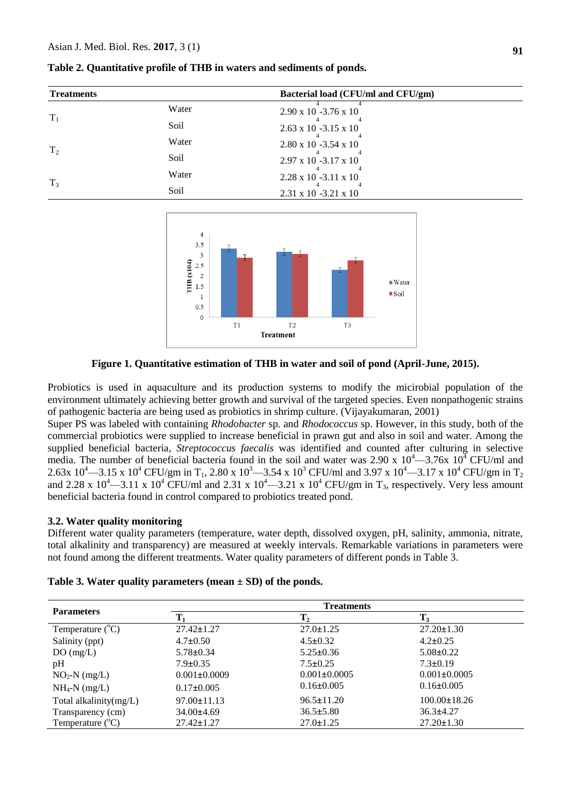| <b>Treatments</b> |       | Bacterial load (CFU/ml and CFU/gm) |  |
|-------------------|-------|------------------------------------|--|
|                   | Water | $2.90 \times 10$ -3.76 $\times 10$ |  |
| $T_1$             | Soil  | $2.63 \times 10 - 3.15 \times 10$  |  |
|                   | Water | $2.80 \times 10 - 3.54 \times 10$  |  |
| T <sub>2</sub>    | Soil  | $2.97 \times 10 - 3.17 \times 10$  |  |
|                   | Water | $2.28 \times 10 - 3.11 \times 10$  |  |
| $T_3$             | Soil  | $2.31 \times 10 - 3.21 \times 10$  |  |

**Table 2. Quantitative profile of THB in waters and sediments of ponds.**



#### **Figure 1. Quantitative estimation of THB in water and soil of pond (April-June, 2015).**

Probiotics is used in aquaculture and its production systems to modify the micirobial population of the environment ultimately achieving better growth and survival of the targeted species. Even nonpathogenic strains of pathogenic bacteria are being used as probiotics in shrimp culture. (Vijayakumaran, 2001)

Super PS was labeled with containing *Rhodobacter* sp. and *Rhodococcus* sp. However, in this study, both of the commercial probiotics were supplied to increase beneficial in prawn gut and also in soil and water. Among the supplied beneficial bacteria, *Streptococcus faecalis* was identified and counted after culturing in selective media. The number of beneficial bacteria found in the soil and water was 2.90 x  $10^4 - 3.76x$   $10^4$  CFU/ml and 2.63x 10<sup>4</sup>—3.15 x 10<sup>4</sup> CFU/gm in T<sub>1</sub>, 2.80 x 10<sup>3</sup>—3.54 x 10<sup>3</sup> CFU/ml and 3.97 x 10<sup>4</sup>—3.17 x 10<sup>4</sup> CFU/gm in T<sub>2</sub> and 2.28 x  $10^4$ —3.11 x  $10^4$  CFU/ml and 2.31 x  $10^4$ —3.21 x  $10^4$  CFU/gm in T<sub>3</sub>, respectively. Very less amount beneficial bacteria found in control compared to probiotics treated pond.

#### **3.2. Water quality monitoring**

Different water quality parameters (temperature, water depth, dissolved oxygen, pH, salinity, ammonia, nitrate, total alkalinity and transparency) are measured at weekly intervals. Remarkable variations in parameters were not found among the different treatments. Water quality parameters of different ponds in Table 3.

|                           |                    | <b>Treatments</b>  |                    |  |
|---------------------------|--------------------|--------------------|--------------------|--|
| <b>Parameters</b>         |                    | Т,                 | $\mathbf{T}_3$     |  |
| Temperature $(^{\circ}C)$ | $27.42 \pm 1.27$   | $27.0 \pm 1.25$    | $27.20 \pm 1.30$   |  |
| Salinity (ppt)            | $4.7 \pm 0.50$     | $4.5 \pm 0.32$     | $4.2 \pm 0.25$     |  |
| DO(mg/L)                  | $5.78 \pm 0.34$    | $5.25 \pm 0.36$    | $5.08 \pm 0.22$    |  |
| pH                        | $7.9 \pm 0.35$     | $7.5 \pm 0.25$     | $7.3 \pm 0.19$     |  |
| $NO2-N (mg/L)$            | $0.001 \pm 0.0009$ | $0.001 \pm 0.0005$ | $0.001 \pm 0.0005$ |  |
| $NH_4-N$ (mg/L)           | $0.17 \pm 0.005$   | $0.16 \pm 0.005$   | $0.16 \pm 0.005$   |  |
| Total alkalinity(mg/L)    | $97.00 \pm 11.13$  | $96.5 \pm 11.20$   | $100.00 \pm 18.26$ |  |
| Transparency (cm)         | $34.00\pm4.69$     | $36.5 \pm 5.80$    | $36.3 \pm 4.27$    |  |
| Temperature $(^{\circ}C)$ | $27.42 \pm 1.27$   | $27.0 \pm 1.25$    | $27.20 \pm 1.30$   |  |

**Table 3. Water quality parameters (mean ± SD) of the ponds.**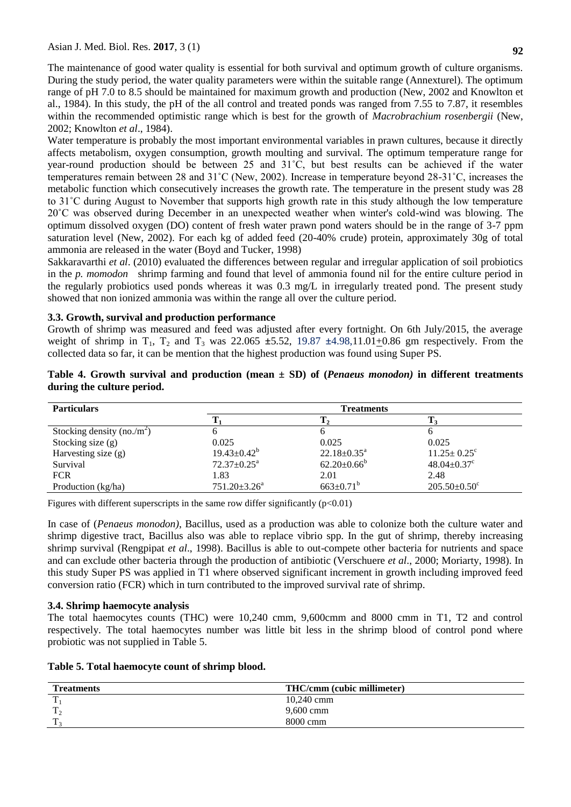The maintenance of good water quality is essential for both survival and optimum growth of culture organisms. During the study period, the water quality parameters were within the suitable range (Annexturel). The optimum range of pH 7.0 to 8.5 should be maintained for maximum growth and production (New, 2002 and Knowlton et al., 1984). In this study, the pH of the all control and treated ponds was ranged from 7.55 to 7.87, it resembles within the recommended optimistic range which is best for the growth of *Macrobrachium rosenbergii* (New, 2002; Knowlton *et al*., 1984).

Water temperature is probably the most important environmental variables in prawn cultures, because it directly affects metabolism, oxygen consumption, growth moulting and survival. The optimum temperature range for year-round production should be between 25 and 31˚C, but best results can be achieved if the water temperatures remain between 28 and 31˚C (New, 2002). Increase in temperature beyond 28-31˚C, increases the metabolic function which consecutively increases the growth rate. The temperature in the present study was 28 to 31˚C during August to November that supports high growth rate in this study although the low temperature 20˚C was observed during December in an unexpected weather when winter's cold-wind was blowing. The optimum dissolved oxygen (DO) content of fresh water prawn pond waters should be in the range of 3-7 ppm saturation level (New, 2002). For each kg of added feed (20-40% crude) protein, approximately 30g of total ammonia are released in the water (Boyd and Tucker, 1998)

Sakkaravarthi *et al*. (2010) evaluated the differences between regular and irregular application of soil probiotics in the *p. momodon* shrimp farming and found that level of ammonia found nil for the entire culture period in the regularly probiotics used ponds whereas it was 0.3 mg/L in irregularly treated pond. The present study showed that non ionized ammonia was within the range all over the culture period.

### **3.3. Growth, survival and production performance**

Growth of shrimp was measured and feed was adjusted after every fortnight. On 6th July/2015, the average weight of shrimp in  $T_1$ ,  $T_2$  and  $T_3$  was 22.065  $\pm$ 5.52, 19.87  $\pm$ 4.98,11.01 $\pm$ 0.86 gm respectively. From the collected data so far, it can be mention that the highest production was found using Super PS.

| <b>Particulars</b>                     |                             | <b>Treatments</b>      |                               |
|----------------------------------------|-----------------------------|------------------------|-------------------------------|
|                                        |                             |                        |                               |
| Stocking density (no./m <sup>2</sup> ) |                             |                        |                               |
| Stocking size $(g)$                    | 0.025                       | 0.025                  | 0.025                         |
| Harvesting size $(g)$                  | $19.43 \pm 0.42^b$          | $22.18 \pm 0.35^a$     | $11.25 \pm 0.25$ <sup>c</sup> |
| Survival                               | $72.37 \pm 0.25^{\text{a}}$ | $62.20 \pm 0.66^b$     | $48.04 \pm 0.37$ <sup>c</sup> |
| <b>FCR</b>                             | 1.83                        | 2.01                   | 2.48                          |
| Production (kg/ha)                     | $751.20 \pm 3.26^a$         | $663 \pm 0.71^{\rm b}$ | $205.50\pm0.50^{\circ}$       |

**Table 4. Growth survival and production (mean ± SD) of (***Penaeus monodon)* **in different treatments during the culture period.** 

Figures with different superscripts in the same row differ significantly  $(p<0.01)$ 

In case of (*Penaeus monodon)*, Bacillus, used as a production was able to colonize both the culture water and shrimp digestive tract, Bacillus also was able to replace vibrio spp. In the gut of shrimp, thereby increasing shrimp survival (Rengpipat *et al*., 1998). Bacillus is able to out-compete other bacteria for nutrients and space and can exclude other bacteria through the production of antibiotic (Verschuere *et al*., 2000; Moriarty, 1998). In this study Super PS was applied in T1 where observed significant increment in growth including improved feed conversion ratio (FCR) which in turn contributed to the improved survival rate of shrimp.

#### **3.4. Shrimp haemocyte analysis**

The total haemocytes counts (THC) were 10,240 cmm, 9,600cmm and 8000 cmm in T1, T2 and control respectively. The total haemocytes number was little bit less in the shrimp blood of control pond where probiotic was not supplied in Table 5.

| <b>Treatments</b> | <b>THC/cmm (cubic millimeter)</b> |
|-------------------|-----------------------------------|
| $\mathbf{r}$      | 10,240 cmm                        |
| m                 | $9,600$ cmm                       |
| m                 | 8000 cmm                          |